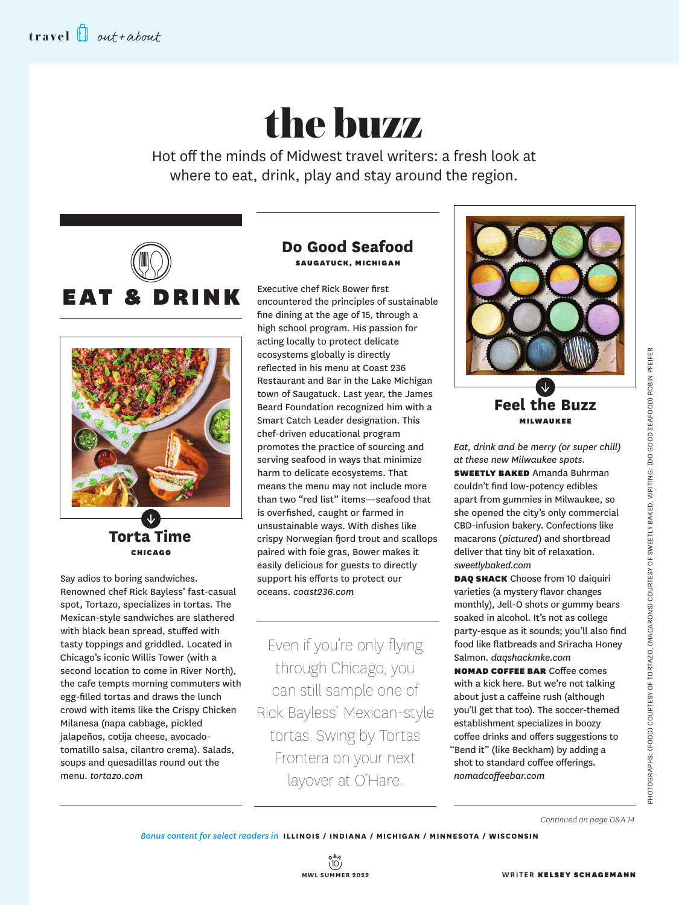# the buzz

Hot off the minds of Midwest travel writers: a fresh look at where to eat, drink, play and stay around the region.





**Torta Time** CHICAGO

Say adios to boring sandwiches. Renowned chef Rick Bayless' fast-casual spot, Tortazo, specializes in tortas. The Mexican-style sandwiches are slathered with black bean spread, stuffed with tasty toppings and griddled. Located in Chicago's iconic Willis Tower (with a second location to come in River North), the cafe tempts morning commuters with egg-filled tortas and draws the lunch crowd with items like the Crispy Chicken Milanesa (napa cabbage, pickled jalapeños, cotija cheese, avocadotomatillo salsa, cilantro crema). Salads, soups and quesadillas round out the menu. *tortazo.com*

# **Do Good Seafood** SAUGATUCK, MICHIGAN

Executive chef Rick Bower first encountered the principles of sustainable fine dining at the age of 15, through a high school program. His passion for acting locally to protect delicate ecosystems globally is directly reflected in his menu at Coast 236 Restaurant and Bar in the Lake Michigan town of Saugatuck. Last year, the James Beard Foundation recognized him with a Smart Catch Leader designation. This chef-driven educational program promotes the practice of sourcing and serving seafood in ways that minimize harm to delicate ecosystems. That means the menu may not include more than two "red list" items—seafood that is overfished, caught or farmed in unsustainable ways. With dishes like crispy Norwegian fjord trout and scallops paired with foie gras, Bower makes it easily delicious for guests to directly support his efforts to protect our oceans. *coast236.com*

Even if you're only flying through Chicago, you can still sample one of Rick Bayless' Mexican-style tortas. Swing by Tortas Frontera on your next layover at O'Hare.



# **Feel the Buzz** MILWAUKEE

*Eat, drink and be merry (or super chill) at these new Milwaukee spots.* **SWEETLY BAKED** Amanda Buhrman couldn't find low-potency edibles apart from gummies in Milwaukee, so she opened the city's only commercial CBD-infusion bakery. Confections like macarons (*pictured*) and shortbread deliver that tiny bit of relaxation. *sweetlybaked.com*

DAQ SHACK Choose from 10 daiquiri varieties (a mystery flavor changes monthly), Jell-O shots or gummy bears soaked in alcohol. It's not as college party-esque as it sounds; you'll also find food like flatbreads and Sriracha Honey Salmon. *daqshackmke.com* 

NOMAD COFFEE BAR Coffee comes with a kick here. But we're not talking about just a caffeine rush (although you'll get that too). The soccer-themed establishment specializes in boozy coffee drinks and offers suggestions to "Bend it" (like Beckham) by adding a shot to standard coffee offerings. *nomadcoffeebar.com*

*Continued on page O&A 14*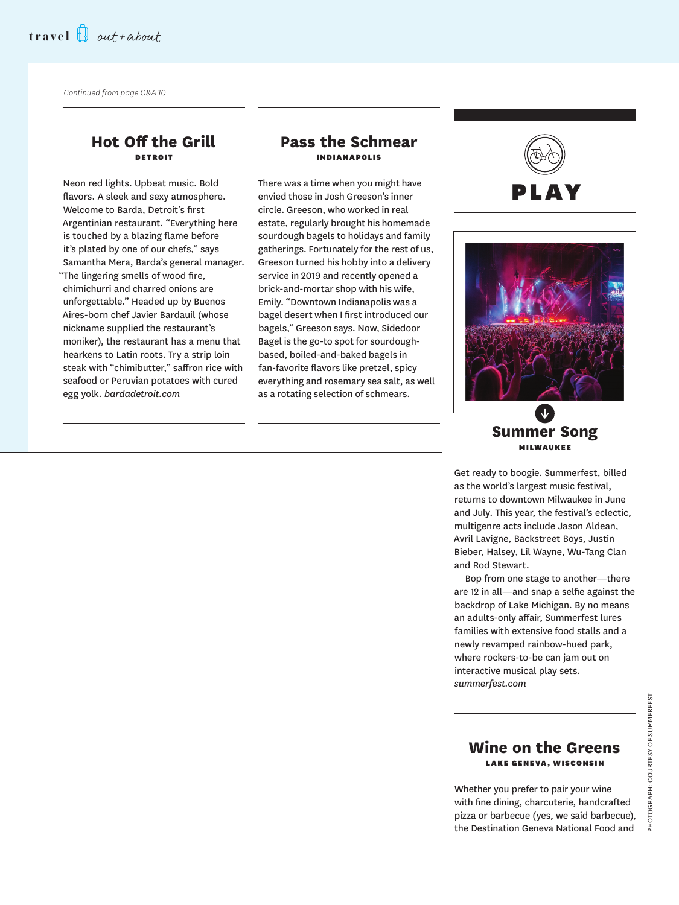*Continued from page O&A 10*

#### **Hot Off the Grill** DETROIT

Neon red lights. Upbeat music. Bold flavors. A sleek and sexy atmosphere. Welcome to Barda, Detroit's first Argentinian restaurant. "Everything here is touched by a blazing flame before it's plated by one of our chefs," says Samantha Mera, Barda's general manager. "The lingering smells of wood fire, chimichurri and charred onions are unforgettable." Headed up by Buenos Aires-born chef Javier Bardauil (whose nickname supplied the restaurant's moniker), the restaurant has a menu that hearkens to Latin roots. Try a strip loin steak with "chimibutter," saffron rice with seafood or Peruvian potatoes with cured egg yolk. *bardadetroit.com*

## **Pass the Schmear INDIANAPOLIS**

There was a time when you might have envied those in Josh Greeson's inner circle. Greeson, who worked in real estate, regularly brought his homemade sourdough bagels to holidays and family gatherings. Fortunately for the rest of us, Greeson turned his hobby into a delivery service in 2019 and recently opened a brick-and-mortar shop with his wife, Emily. "Downtown Indianapolis was a bagel desert when I first introduced our bagels," Greeson says. Now, Sidedoor Bagel is the go-to spot for sourdoughbased, boiled-and-baked bagels in fan-favorite flavors like pretzel, spicy everything and rosemary sea salt, as well as a rotating selection of schmears.





**Summer Song** MILWAUKEE

Get ready to boogie. Summerfest, billed as the world's largest music festival, returns to downtown Milwaukee in June and July. This year, the festival's eclectic, multigenre acts include Jason Aldean, Avril Lavigne, Backstreet Boys, Justin Bieber, Halsey, Lil Wayne, Wu-Tang Clan and Rod Stewart.

Bop from one stage to another—there are 12 in all—and snap a selfie against the backdrop of Lake Michigan. By no means an adults-only affair, Summerfest lures families with extensive food stalls and a newly revamped rainbow-hued park, where rockers-to-be can jam out on interactive musical play sets. *summerfest.com* 

#### **Wine on the Greens** LAKE GENEVA, WISCONSIN

Whether you prefer to pair your wine with fine dining, charcuterie, handcrafted pizza or barbecue (yes, we said barbecue), the Destination Geneva National Food and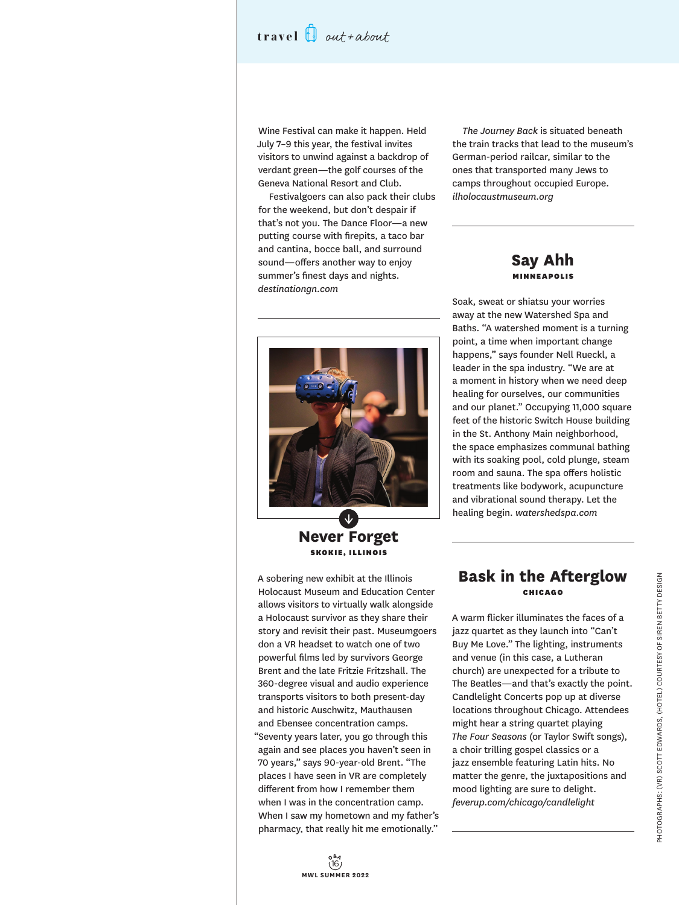# **travel** out+about

Wine Festival can make it happen. Held July 7–9 this year, the festival invites visitors to unwind against a backdrop of verdant green—the golf courses of the Geneva National Resort and Club.

Festivalgoers can also pack their clubs for the weekend, but don't despair if that's not you. The Dance Floor—a new putting course with firepits, a taco bar and cantina, bocce ball, and surround sound—offers another way to enjoy summer's finest days and nights. *destinationgn.com*



**Never Forget** SKOKIE, ILLINOIS

A sobering new exhibit at the Illinois Holocaust Museum and Education Center allows visitors to virtually walk alongside a Holocaust survivor as they share their story and revisit their past. Museumgoers don a VR headset to watch one of two powerful films led by survivors George Brent and the late Fritzie Fritzshall. The 360-degree visual and audio experience transports visitors to both present-day and historic Auschwitz, Mauthausen and Ebensee concentration camps. "Seventy years later, you go through this again and see places you haven't seen in 70 years," says 90-year-old Brent. "The places I have seen in VR are completely different from how I remember them when I was in the concentration camp. When I saw my hometown and my father's pharmacy, that really hit me emotionally."

*The Journey Back* is situated beneath the train tracks that lead to the museum's German-period railcar, similar to the ones that transported many Jews to camps throughout occupied Europe. *ilholocaustmuseum.org*

#### **Say Ahh** MINNEAPOLIS

Soak, sweat or shiatsu your worries away at the new Watershed Spa and Baths. "A watershed moment is a turning point, a time when important change happens," says founder Nell Rueckl, a leader in the spa industry. "We are at a moment in history when we need deep healing for ourselves, our communities and our planet." Occupying 11,000 square feet of the historic Switch House building in the St. Anthony Main neighborhood, the space emphasizes communal bathing with its soaking pool, cold plunge, steam room and sauna. The spa offers holistic treatments like bodywork, acupuncture and vibrational sound therapy. Let the healing begin. *watershedspa.com*

### **Bask in the Afterglow** CHICAGO

A warm flicker illuminates the faces of a jazz quartet as they launch into "Can't Buy Me Love." The lighting, instruments and venue (in this case, a Lutheran church) are unexpected for a tribute to The Beatles—and that's exactly the point. Candlelight Concerts pop up at diverse locations throughout Chicago. Attendees might hear a string quartet playing *The Four Seasons* (or Taylor Swift songs), a choir trilling gospel classics or a jazz ensemble featuring Latin hits. No matter the genre, the juxtapositions and mood lighting are sure to delight. *feverup.com/chicago/candlelight* 

16 **O&AMWL SUMMER 2022**